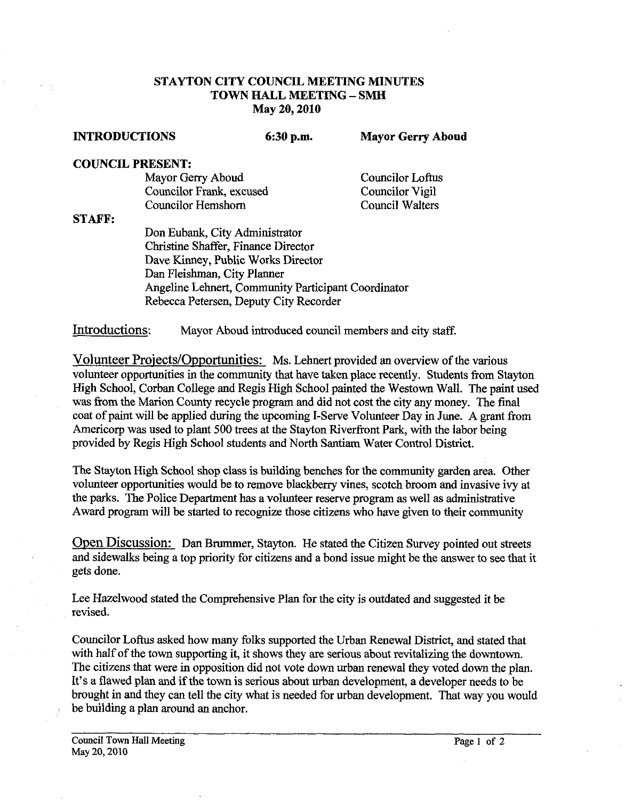## **STAYTON CITY COUNCIL MEETING MINUTES TOWN HALL MEETING** - **SMH May 20,2010**

**INTRODUCTIONS 6:30 p.m. Mayor Gerry Aboud** 

## **COUNCIL PRESENT:**

Mayor Gerry Aboud Councilor Loftus Councilor Frank, excused Councilor Vigil Councilor Hemshorn

**STAFP:** 

Don Eubank, City Administrator Christine Shaffer, Finance Director Dave Kinney, Public Works Director Dan Fleishman, City Planner Angeline Lehnert, Community Participant Coordinator Rebecca Petersen, Deputy City Recorder

Introductions: Mayor Aboud introduced council members and city staff.

Volunteer Projects/Opportunities: Ms. Lehnert provided an overview of the various volunteer opportunities in the community that have taken place recently. Students from Stayton High School, Corban College and Regis High School painted the Westown Wall. The paint used was from the Marion County recycle program and did not cost the city any money. The final coat of paint will be applied during the upcoming I-Serve Volunteer Day in June. A grant from Americorp was used to plant 500 trees at the Stayton Riverfront Park, with the labor being provided by Regis High School students and North Santiam Water Control District.

The Stayton High School shop class is building benches for the community garden area. Other volunteer opportunities would be to remove blackberry vines, scotch broom and invasive ivy at the parks. The Police Department has a volunteer reserve program as well as administrative Award program will be started to recognize those citizens who have given **to** their community

Open Discussion: Dan Brummer, Stayton. He stated the Citizen Survey pointed out streets and sidewalks being a top priority for citizens and a bond issue might be the answer to see that it gets done.

Lee Hazelwood stated the Comprehensive Plan for the city is outdated and suggested it be revised.

Councilor Loftus asked how many folks supported the Urban Renewal District, and stated that with half of the town supporting **it,** it shows they are serious about revitalizing the downtown. The citizens that were in opposition did not vote down urban renewal they voted down the plan. It's a flawed plan and if the town is serious about urban development, a developer needs to be brought in and they can tell the city what is needed for urban development. That way you would be building a plan around an anchor.